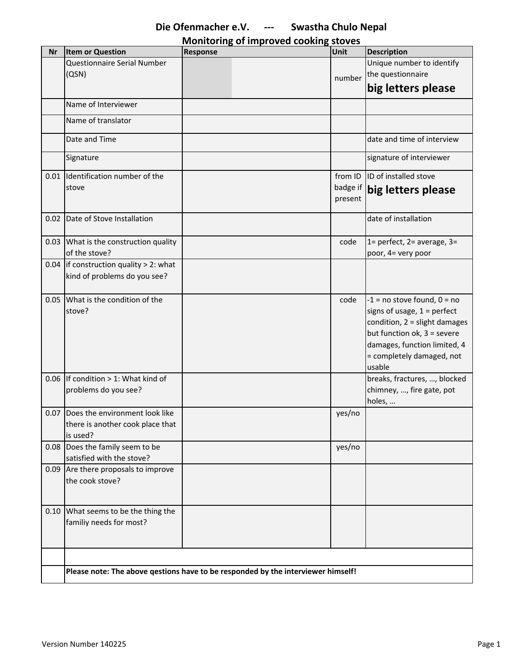| Monitoring of improved cooking stoves |  |  |
|---------------------------------------|--|--|
|                                       |  |  |

| <b>Nr</b> | <b>Item or Question</b>                                                          | Response | Unit     | <b>Description</b>              |
|-----------|----------------------------------------------------------------------------------|----------|----------|---------------------------------|
|           | Questionnaire Serial Number                                                      |          |          | Unique number to identify       |
|           | (QSN)                                                                            |          | number   | the questionnaire               |
|           |                                                                                  |          |          | big letters please              |
|           |                                                                                  |          |          |                                 |
|           | Name of Interviewer                                                              |          |          |                                 |
|           | Name of translator                                                               |          |          |                                 |
|           | Date and Time                                                                    |          |          | date and time of interview      |
|           | Signature                                                                        |          |          | signature of interviewer        |
|           | 0.01 Identification number of the                                                |          | from ID  | ID of installed stove           |
|           | stove                                                                            |          | badge if | big letters please              |
|           |                                                                                  |          | present  |                                 |
|           |                                                                                  |          |          |                                 |
| 0.02      | Date of Stove Installation                                                       |          |          | date of installation            |
|           | 0.03 What is the construction quality                                            |          | code     | 1= perfect, $2=$ average, $3=$  |
|           | of the stove?                                                                    |          |          | poor, 4= very poor              |
|           | 0.04 If construction quality $> 2$ : what                                        |          |          |                                 |
|           | kind of problems do you see?                                                     |          |          |                                 |
|           |                                                                                  |          |          |                                 |
| 0.05      | What is the condition of the                                                     |          | code     | $-1$ = no stove found, $0 = no$ |
|           | stove?                                                                           |          |          | signs of usage, $1 =$ perfect   |
|           |                                                                                  |          |          | condition, $2 =$ slight damages |
|           |                                                                                  |          |          | but function ok, 3 = severe     |
|           |                                                                                  |          |          | damages, function limited, 4    |
|           |                                                                                  |          |          | = completely damaged, not       |
|           |                                                                                  |          |          | usable                          |
|           | 0.06 If condition $> 1$ : What kind of                                           |          |          | breaks, fractures, , blocked    |
|           | problems do you see?                                                             |          |          | chimney, , fire gate, pot       |
|           |                                                                                  |          |          | holes,                          |
| 0.07      | Does the environment look like                                                   |          | yes/no   |                                 |
|           | there is another cook place that                                                 |          |          |                                 |
|           | is used?                                                                         |          |          |                                 |
|           | 0.08 Does the family seem to be                                                  |          | yes/no   |                                 |
|           | satisfied with the stove?                                                        |          |          |                                 |
|           | 0.09 Are there proposals to improve                                              |          |          |                                 |
|           | the cook stove?                                                                  |          |          |                                 |
|           |                                                                                  |          |          |                                 |
|           |                                                                                  |          |          |                                 |
|           | 0.10 What seems to be the thing the                                              |          |          |                                 |
|           | familiy needs for most?                                                          |          |          |                                 |
|           |                                                                                  |          |          |                                 |
|           |                                                                                  |          |          |                                 |
|           |                                                                                  |          |          |                                 |
|           | Please note: The above qestions have to be responded by the interviewer himself! |          |          |                                 |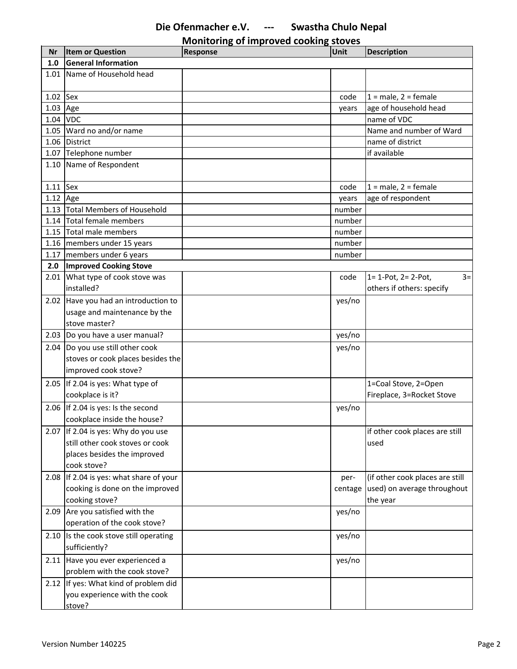**Monitoring of improved cooking stoves**

| Nr         | <b>Item or Question</b>                 | <b>Response</b> | Unit    | <b>Description</b>                  |
|------------|-----------------------------------------|-----------------|---------|-------------------------------------|
| 1.0        | <b>General Information</b>              |                 |         |                                     |
|            | 1.01 Name of Household head             |                 |         |                                     |
| $1.02$ Sex |                                         |                 | code    | $1 = male, 2 = female$              |
| 1.03       | Age                                     |                 | years   | age of household head               |
| 1.04       | <b>VDC</b>                              |                 |         | name of VDC                         |
|            | 1.05 Ward no and/or name                |                 |         | Name and number of Ward             |
|            | 1.06 District                           |                 |         | name of district                    |
|            | 1.07 Telephone number                   |                 |         | if available                        |
|            | 1.10 Name of Respondent                 |                 |         |                                     |
| $1.11$ Sex |                                         |                 | code    | $1 = male$ , $2 = female$           |
| $1.12$ Age |                                         |                 | years   | age of respondent                   |
|            | 1.13 Total Members of Household         |                 | number  |                                     |
|            | 1.14 Total female members               |                 | number  |                                     |
|            | 1.15 Total male members                 |                 | number  |                                     |
|            | 1.16 members under 15 years             |                 | number  |                                     |
|            | 1.17 members under 6 years              |                 | number  |                                     |
| 2.0        | <b>Improved Cooking Stove</b>           |                 |         |                                     |
|            | 2.01 What type of cook stove was        |                 | code    | $1 = 1$ -Pot, $2 = 2$ -Pot,<br>$3=$ |
|            | installed?                              |                 |         | others if others: specify           |
|            | 2.02 Have you had an introduction to    |                 | yes/no  |                                     |
|            | usage and maintenance by the            |                 |         |                                     |
|            | stove master?                           |                 |         |                                     |
|            | 2.03 Do you have a user manual?         |                 | yes/no  |                                     |
|            | 2.04 Do you use still other cook        |                 | yes/no  |                                     |
|            | stoves or cook places besides the       |                 |         |                                     |
|            | improved cook stove?                    |                 |         |                                     |
|            | 2.05 If 2.04 is yes: What type of       |                 |         | 1=Coal Stove, 2=Open                |
|            | cookplace is it?                        |                 |         | Fireplace, 3=Rocket Stove           |
|            | 2.06 If 2.04 is yes: Is the second      |                 | yes/no  |                                     |
|            | cookplace inside the house?             |                 |         |                                     |
|            | 2.07 If 2.04 is yes: Why do you use     |                 |         | if other cook places are still      |
|            | still other cook stoves or cook         |                 |         | used                                |
|            | places besides the improved             |                 |         |                                     |
|            | cook stove?                             |                 |         |                                     |
|            | 2.08 If 2.04 is yes: what share of your |                 | per-    | (if other cook places are still     |
|            | cooking is done on the improved         |                 | centage | used) on average throughout         |
|            | cooking stove?                          |                 |         | the year                            |
|            | 2.09 Are you satisfied with the         |                 | yes/no  |                                     |
|            | operation of the cook stove?            |                 |         |                                     |
|            | 2.10 Is the cook stove still operating  |                 | yes/no  |                                     |
|            | sufficiently?                           |                 |         |                                     |
|            | 2.11 Have you ever experienced a        |                 | yes/no  |                                     |
|            | problem with the cook stove?            |                 |         |                                     |
|            | 2.12 If yes: What kind of problem did   |                 |         |                                     |
|            | you experience with the cook            |                 |         |                                     |
|            | stove?                                  |                 |         |                                     |